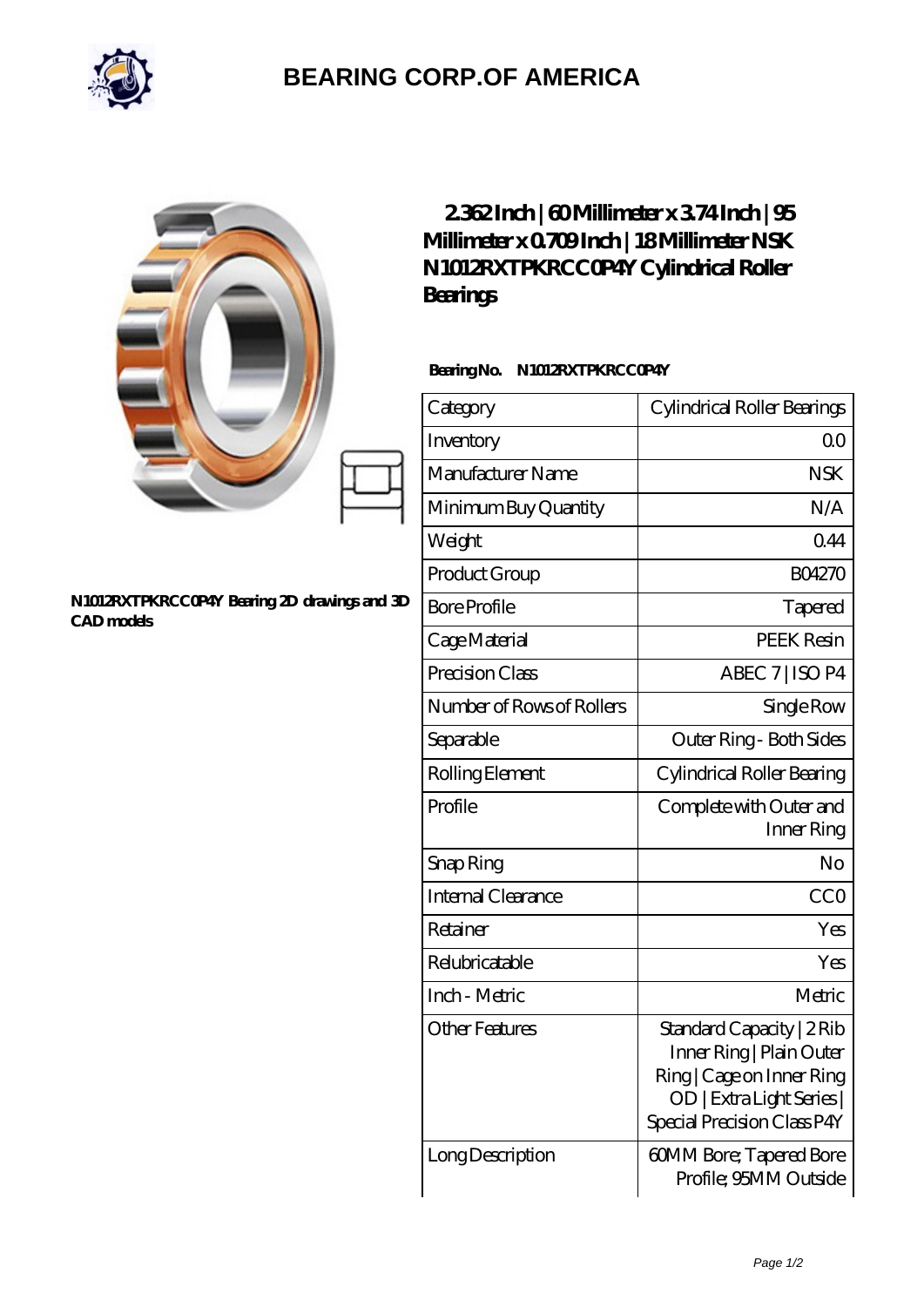

## **[BEARING CORP.OF AMERICA](https://bluemondayreview.com)**

|                                                                   | $232$ Inch   60Millimeter x 374 Inch   95<br>Millimeter x 0709Inch   18Millimeter NSK<br>N1012RXTPKRCCOP4Y Cylindrical Roller<br>Bearings |                                                                                                                                                |
|-------------------------------------------------------------------|-------------------------------------------------------------------------------------------------------------------------------------------|------------------------------------------------------------------------------------------------------------------------------------------------|
|                                                                   | BearingNo.<br>N1012RXTPKRCCOP4Y                                                                                                           |                                                                                                                                                |
|                                                                   | Category                                                                                                                                  | Cylindrical Roller Bearings                                                                                                                    |
|                                                                   | Inventory                                                                                                                                 | QO                                                                                                                                             |
|                                                                   | Manufacturer Name                                                                                                                         | <b>NSK</b>                                                                                                                                     |
|                                                                   | Minimum Buy Quantity                                                                                                                      | N/A                                                                                                                                            |
|                                                                   | Weight                                                                                                                                    | 0.44                                                                                                                                           |
|                                                                   | Product Group                                                                                                                             | BO4270                                                                                                                                         |
| N1012RXTPKRCCOP4Y Bearing 2D drawings and 3D<br><b>CAD</b> models | <b>Bore Profile</b>                                                                                                                       | Tapered                                                                                                                                        |
|                                                                   | Cage Material                                                                                                                             | <b>PEEK Resin</b>                                                                                                                              |
|                                                                   | Precision Class                                                                                                                           | ABEC 7   ISO P4                                                                                                                                |
|                                                                   | Number of Rows of Rollers                                                                                                                 | Single Row                                                                                                                                     |
|                                                                   | Separable                                                                                                                                 | Outer Ring - Both Sides                                                                                                                        |
|                                                                   | Rolling Element                                                                                                                           | Cylindrical Roller Bearing                                                                                                                     |
|                                                                   | Profile                                                                                                                                   | Complete with Outer and<br>Inner Ring                                                                                                          |
|                                                                   | Snap Ring                                                                                                                                 | No                                                                                                                                             |
|                                                                   | Internal Clearance                                                                                                                        | <b>CCO</b>                                                                                                                                     |
|                                                                   | Retainer                                                                                                                                  | Yes                                                                                                                                            |
|                                                                   | Relubricatable                                                                                                                            | Yes                                                                                                                                            |
|                                                                   | Inch - Metric                                                                                                                             | Metric                                                                                                                                         |
|                                                                   | <b>Other Features</b>                                                                                                                     | Standard Capacity   2 Rib<br>Inner Ring   Plain Outer<br>Ring   Cage on Inner Ring<br>OD   Extra Light Series  <br>Special Precision Class P4Y |
|                                                                   | Long Description                                                                                                                          | 60MM Bore; Tapered Bore<br>Profile; 95MM Outside                                                                                               |